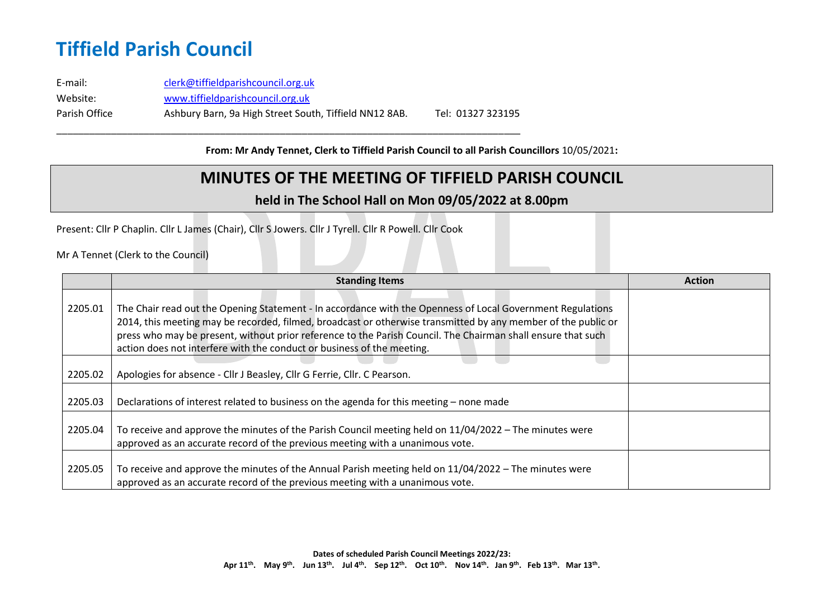E-mail: [clerk@tiffieldparishcouncil.org.uk](mailto:clerk@tiffieldparishcouncil.org.uk) Website: [www.tiffieldparishcouncil.org.uk](http://www.tiffieldparishcouncil.org.uk/) Parish Office Ashbury Barn, 9a High Street South, Tiffield NN12 8AB. Tel: 01327 323195

\_\_\_\_\_\_\_\_\_\_\_\_\_\_\_\_\_\_\_\_\_\_\_\_\_\_\_\_\_\_\_\_\_\_\_\_\_\_\_\_\_\_\_\_\_\_\_\_\_\_\_\_\_\_\_\_\_\_\_\_\_\_\_\_\_\_\_\_\_\_\_\_\_\_\_\_\_\_\_\_\_\_\_\_\_

**From: Mr Andy Tennet, Clerk to Tiffield Parish Council to all Parish Councillors** 10/05/2021**:**

### **MINUTES OF THE MEETING OF TIFFIELD PARISH COUNCIL**

#### **held in The School Hall on Mon 09/05/2022 at 8.00pm**

Present: Cllr P Chaplin. Cllr L James (Chair), Cllr S Jowers. Cllr J Tyrell. Cllr R Powell. Cllr Cook

Mr A Tennet (Clerk to the Council)

|         | <b>Standing Items</b>                                                                                                                                                                                                                                                                                                                                                                                                 | <b>Action</b> |
|---------|-----------------------------------------------------------------------------------------------------------------------------------------------------------------------------------------------------------------------------------------------------------------------------------------------------------------------------------------------------------------------------------------------------------------------|---------------|
| 2205.01 | The Chair read out the Opening Statement - In accordance with the Openness of Local Government Regulations<br>2014, this meeting may be recorded, filmed, broadcast or otherwise transmitted by any member of the public or<br>press who may be present, without prior reference to the Parish Council. The Chairman shall ensure that such<br>action does not interfere with the conduct or business of the meeting. |               |
| 2205.02 | Apologies for absence - Cllr J Beasley, Cllr G Ferrie, Cllr. C Pearson.                                                                                                                                                                                                                                                                                                                                               |               |
| 2205.03 | Declarations of interest related to business on the agenda for this meeting – none made                                                                                                                                                                                                                                                                                                                               |               |
| 2205.04 | To receive and approve the minutes of the Parish Council meeting held on $11/04/2022$ – The minutes were<br>approved as an accurate record of the previous meeting with a unanimous vote.                                                                                                                                                                                                                             |               |
| 2205.05 | To receive and approve the minutes of the Annual Parish meeting held on $11/04/2022$ – The minutes were<br>approved as an accurate record of the previous meeting with a unanimous vote.                                                                                                                                                                                                                              |               |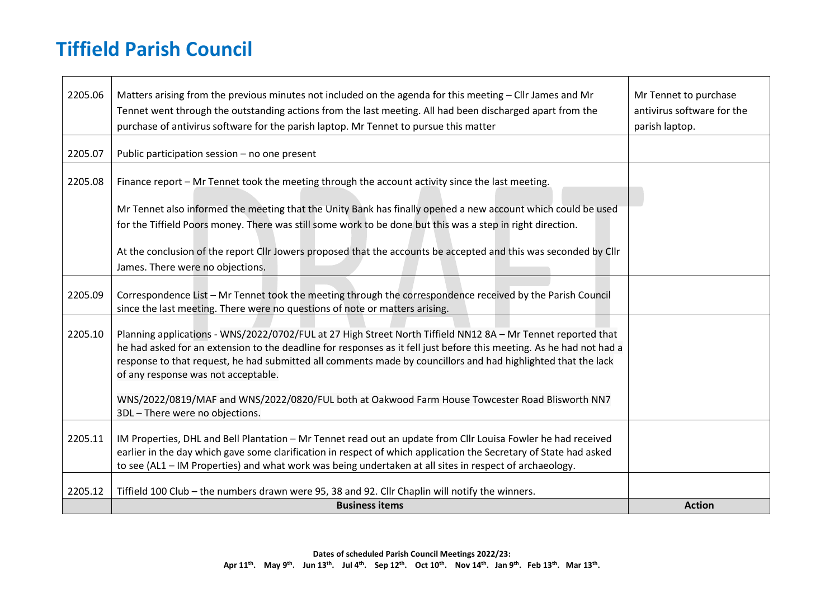$\blacksquare$ 

| 2205.06 | Matters arising from the previous minutes not included on the agenda for this meeting - Cllr James and Mr<br>Tennet went through the outstanding actions from the last meeting. All had been discharged apart from the<br>purchase of antivirus software for the parish laptop. Mr Tennet to pursue this matter                                                                              | Mr Tennet to purchase<br>antivirus software for the<br>parish laptop. |
|---------|----------------------------------------------------------------------------------------------------------------------------------------------------------------------------------------------------------------------------------------------------------------------------------------------------------------------------------------------------------------------------------------------|-----------------------------------------------------------------------|
| 2205.07 | Public participation session - no one present                                                                                                                                                                                                                                                                                                                                                |                                                                       |
| 2205.08 | Finance report - Mr Tennet took the meeting through the account activity since the last meeting.<br>Mr Tennet also informed the meeting that the Unity Bank has finally opened a new account which could be used                                                                                                                                                                             |                                                                       |
|         | for the Tiffield Poors money. There was still some work to be done but this was a step in right direction.                                                                                                                                                                                                                                                                                   |                                                                       |
|         | At the conclusion of the report ClIr Jowers proposed that the accounts be accepted and this was seconded by ClIr<br>James. There were no objections.                                                                                                                                                                                                                                         |                                                                       |
| 2205.09 | Correspondence List - Mr Tennet took the meeting through the correspondence received by the Parish Council<br>since the last meeting. There were no questions of note or matters arising.                                                                                                                                                                                                    |                                                                       |
| 2205.10 | Planning applications - WNS/2022/0702/FUL at 27 High Street North Tiffield NN12 8A - Mr Tennet reported that<br>he had asked for an extension to the deadline for responses as it fell just before this meeting. As he had not had a<br>response to that request, he had submitted all comments made by councillors and had highlighted that the lack<br>of any response was not acceptable. |                                                                       |
|         | WNS/2022/0819/MAF and WNS/2022/0820/FUL both at Oakwood Farm House Towcester Road Blisworth NN7<br>3DL - There were no objections.                                                                                                                                                                                                                                                           |                                                                       |
| 2205.11 | IM Properties, DHL and Bell Plantation - Mr Tennet read out an update from Cllr Louisa Fowler he had received<br>earlier in the day which gave some clarification in respect of which application the Secretary of State had asked<br>to see (AL1 - IM Properties) and what work was being undertaken at all sites in respect of archaeology.                                                |                                                                       |
| 2205.12 | Tiffield 100 Club - the numbers drawn were 95, 38 and 92. Cllr Chaplin will notify the winners.                                                                                                                                                                                                                                                                                              |                                                                       |
|         | <b>Business items</b>                                                                                                                                                                                                                                                                                                                                                                        | <b>Action</b>                                                         |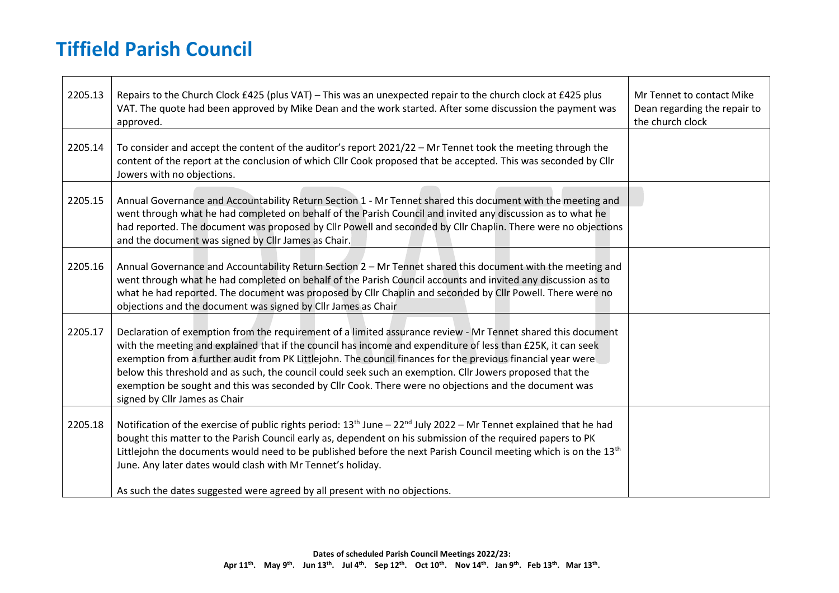$\blacksquare$ 

| 2205.13 | Repairs to the Church Clock £425 (plus VAT) - This was an unexpected repair to the church clock at £425 plus<br>VAT. The quote had been approved by Mike Dean and the work started. After some discussion the payment was<br>approved.                                                                                                                                                                                                                                                                                                                                                              | Mr Tennet to contact Mike<br>Dean regarding the repair to<br>the church clock |
|---------|-----------------------------------------------------------------------------------------------------------------------------------------------------------------------------------------------------------------------------------------------------------------------------------------------------------------------------------------------------------------------------------------------------------------------------------------------------------------------------------------------------------------------------------------------------------------------------------------------------|-------------------------------------------------------------------------------|
| 2205.14 | To consider and accept the content of the auditor's report 2021/22 - Mr Tennet took the meeting through the<br>content of the report at the conclusion of which Cllr Cook proposed that be accepted. This was seconded by Cllr<br>Jowers with no objections.                                                                                                                                                                                                                                                                                                                                        |                                                                               |
| 2205.15 | Annual Governance and Accountability Return Section 1 - Mr Tennet shared this document with the meeting and<br>went through what he had completed on behalf of the Parish Council and invited any discussion as to what he<br>had reported. The document was proposed by Cllr Powell and seconded by Cllr Chaplin. There were no objections<br>and the document was signed by Cllr James as Chair.                                                                                                                                                                                                  |                                                                               |
| 2205.16 | Annual Governance and Accountability Return Section 2 - Mr Tennet shared this document with the meeting and<br>went through what he had completed on behalf of the Parish Council accounts and invited any discussion as to<br>what he had reported. The document was proposed by Cllr Chaplin and seconded by Cllr Powell. There were no<br>objections and the document was signed by Cllr James as Chair                                                                                                                                                                                          |                                                                               |
| 2205.17 | Declaration of exemption from the requirement of a limited assurance review - Mr Tennet shared this document<br>with the meeting and explained that if the council has income and expenditure of less than £25K, it can seek<br>exemption from a further audit from PK Littlejohn. The council finances for the previous financial year were<br>below this threshold and as such, the council could seek such an exemption. Cllr Jowers proposed that the<br>exemption be sought and this was seconded by Cllr Cook. There were no objections and the document was<br>signed by Cllr James as Chair |                                                                               |
| 2205.18 | Notification of the exercise of public rights period: 13 <sup>th</sup> June - 22 <sup>nd</sup> July 2022 - Mr Tennet explained that he had<br>bought this matter to the Parish Council early as, dependent on his submission of the required papers to PK<br>Littlejohn the documents would need to be published before the next Parish Council meeting which is on the 13 <sup>th</sup><br>June. Any later dates would clash with Mr Tennet's holiday.                                                                                                                                             |                                                                               |
|         | As such the dates suggested were agreed by all present with no objections.                                                                                                                                                                                                                                                                                                                                                                                                                                                                                                                          |                                                                               |